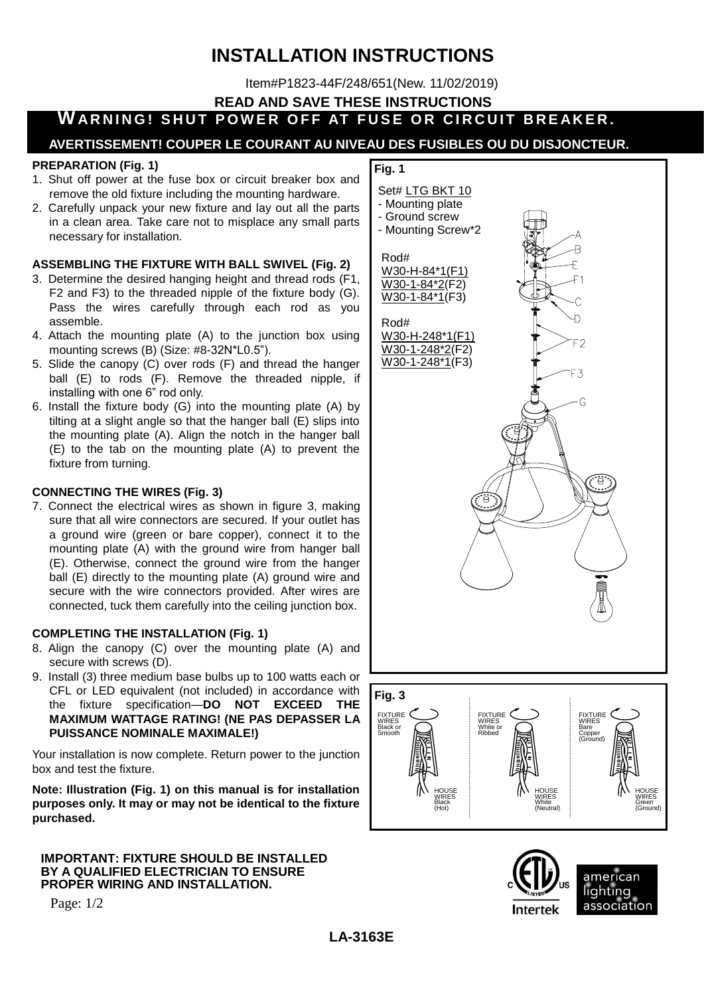# **INSTALLATION INSTRUCTIONS**

Item#P1823-44F/248/651(New. 11/02/2019)

**READ AND SAVE THESE INSTRUCTIONS**

## **WARNING! SHUT POWER OFF AT FUSE OR CIRCUIT BREAKER.**

### **AVERTISSEMENT! COUPER LE COURANT AU NIVEAU DES FUSIBLES OU DU DISJONCTEUR.**

#### **PREPARATION (Fig. 1)**

- 1. Shut off power at the fuse box or circuit breaker box and remove the old fixture including the mounting hardware.
- 2. Carefully unpack your new fixture and lay out all the parts in a clean area. Take care not to misplace any small parts necessary for installation.

### **ASSEMBLING THE FIXTURE WITH BALL SWIVEL (Fig. 2)**

- 3. Determine the desired hanging height and thread rods (F1, F2 and F3) to the threaded nipple of the fixture body (G). Pass the wires carefully through each rod as you assemble.
- 4. Attach the mounting plate (A) to the junction box using mounting screws (B) (Size: #8-32N\*L0.5").
- 5. Slide the canopy (C) over rods (F) and thread the hanger ball (E) to rods (F). Remove the threaded nipple, if installing with one 6" rod only.
- 6. Install the fixture body (G) into the mounting plate (A) by tilting at a slight angle so that the hanger ball (E) slips into the mounting plate (A). Align the notch in the hanger ball (E) to the tab on the mounting plate (A) to prevent the fixture from turning.

### **CONNECTING THE WIRES (Fig. 3)**

7. Connect the electrical wires as shown in figure 3, making sure that all wire connectors are secured. If your outlet has a ground wire (green or bare copper), connect it to the mounting plate (A) with the ground wire from hanger ball (E). Otherwise, connect the ground wire from the hanger ball (E) directly to the mounting plate (A) ground wire and secure with the wire connectors provided. After wires are connected, tuck them carefully into the ceiling junction box.

#### **COMPLETING THE INSTALLATION (Fig. 1)**

- 8. Align the canopy (C) over the mounting plate (A) and secure with screws (D).
- 9. Install (3) three medium base bulbs up to 100 watts each or CFL or LED equivalent (not included) in accordance with the fixture specification—**DO NOT EXCEED THE MAXIMUM WATTAGE RATING! (NE PAS DEPASSER LA PUISSANCE NOMINALE MAXIMALE!)**

Your installation is now complete. Return power to the junction box and test the fixture.

**Note: Illustration (Fig. 1) on this manual is for installation purposes only. It may or may not be identical to the fixture purchased.**

#### **IMPORTANT: FIXTURE SHOULD BE INSTALLED BY A QUALIFIED ELECTRICIAN TO ENSURE PROPER WIRING AND INSTALLATION.**

Page: 1/2